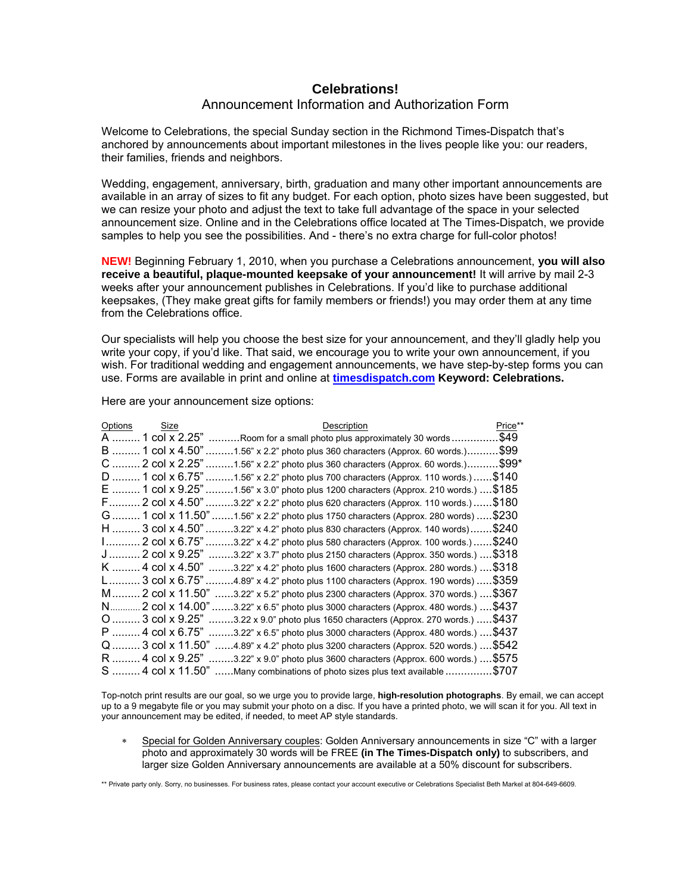## **Celebrations!**  Announcement Information and Authorization Form

Welcome to Celebrations, the special Sunday section in the Richmond Times-Dispatch that's anchored by announcements about important milestones in the lives people like you: our readers, their families, friends and neighbors.

Wedding, engagement, anniversary, birth, graduation and many other important announcements are available in an array of sizes to fit any budget. For each option, photo sizes have been suggested, but we can resize your photo and adjust the text to take full advantage of the space in your selected announcement size. Online and in the Celebrations office located at The Times-Dispatch, we provide samples to help you see the possibilities. And - there's no extra charge for full-color photos!

**NEW!** Beginning February 1, 2010, when you purchase a Celebrations announcement, **you will also receive a beautiful, plaque-mounted keepsake of your announcement!** It will arrive by mail 2-3 weeks after your announcement publishes in Celebrations. If you'd like to purchase additional keepsakes, (They make great gifts for family members or friends!) you may order them at any time from the Celebrations office.

Our specialists will help you choose the best size for your announcement, and they'll gladly help you write your copy, if you'd like. That said, we encourage you to write your own announcement, if you wish. For traditional wedding and engagement announcements, we have step-by-step forms you can use. Forms are available in print and online at **[timesdispatch.com](http://www2.timesdispatch.com/rtd/online/celebrations/) Keyword: Celebrations.**

| Options            | Size          | Description                                                                               | Price** |
|--------------------|---------------|-------------------------------------------------------------------------------------------|---------|
| A                  | 1 col x 2.25" | Room for a small photo plus approximately 30 words                                        | .\$49   |
| B                  | 1 col x 4.50" | $0.1.56$ " x 2.2" photo plus 360 characters (Approx. 60 words.)                           | \$99.   |
| $\mathbf{C}$       | 2 col x 2.25" | $\ldots$ 1.56" x 2.2" photo plus 360 characters (Approx. 60 words.) $\ldots$              | \$99*   |
| D  1 col x 6.75"   |               | \$140<br>$\dots$ 1.56" x 2.2" photo plus 700 characters (Approx. 110 words.) $\dots$      |         |
| $E$ 1 col x 9.25"  |               | .1.56" x 3.0" photo plus 1200 characters (Approx. 210 words.)  \$185                      |         |
| F 2 col x 4.50"    |               | \$180<br>$0.3.22$ " x 2.2" photo plus 620 characters (Approx. 110 words.)                 |         |
| G  1 col x 11.50". |               | \$230<br>$0.1.56$ " x 2.2" photo plus 1750 characters (Approx. 280 words)                 |         |
| H  3 col x 4.50"   |               | \$240<br>$0.3.22$ " x 4.2" photo plus 830 characters (Approx. 140 words)                  |         |
|                    |               | .\$240<br>$0.3.22$ " x 4.2" photo plus 580 characters (Approx. 100 words.)                |         |
| J                  | 2 col x 9.25" | 3.22" x 3.7" photo plus 2150 characters (Approx. 350 words.)  \$318                       |         |
| K 4 col x 4.50"    |               | 3.22" x 4.2" photo plus 1600 characters (Approx. 280 words.)  \$318                       |         |
| L3 col x 6.75"     |               | $0.4.89$ " x 4.2" photo plus 1100 characters (Approx. 190 words)  \$359                   |         |
| M 2 col x 11.50"   |               | …3.22" x 5.2" photo plus 2300 characters (Approx. 370 words.) …. \$367                    |         |
| N…….               |               | . 2 col x 14.00" .<br>3.22" x 6.5" photo plus 3000 characters (Approx. 480 words.)  \$437 |         |
| $O$ 3 col x 9.25"  |               | .\$437<br>.3.22 x 9.0" photo plus 1650 characters (Approx. 270 words.)                    |         |
| $P$ 4 col x 6.75"  |               | 3.22" x 6.5" photo plus 3000 characters (Approx. 480 words.)  \$437                       |         |
| Q  3 col x 11.50"  |               | 4.89" x 4.2" photo plus 3200 characters (Approx. 520 words.)  \$542                       |         |
| R  4 col x 9.25"   |               | .3.22" x 9.0" photo plus 3600 characters (Approx. 600 words.)  \$575                      |         |
| S  4 col x 11.50"  |               | \$707<br>Many combinations of photo sizes plus text available.                            |         |

Here are your announcement size options:

Top-notch print results are our goal, so we urge you to provide large, **high-resolution photographs**. By email, we can accept up to a 9 megabyte file or you may submit your photo on a disc. If you have a printed photo, we will scan it for you. All text in your announcement may be edited, if needed, to meet AP style standards.

Special for Golden Anniversary couples: Golden Anniversary announcements in size "C" with a larger photo and approximately 30 words will be FREE **(in The Times-Dispatch only)** to subscribers, and larger size Golden Anniversary announcements are available at a 50% discount for subscribers.

\*\* Private party only. Sorry, no businesses. For business rates, please contact your account executive or Celebrations Specialist Beth Markel at 804-649-6609.